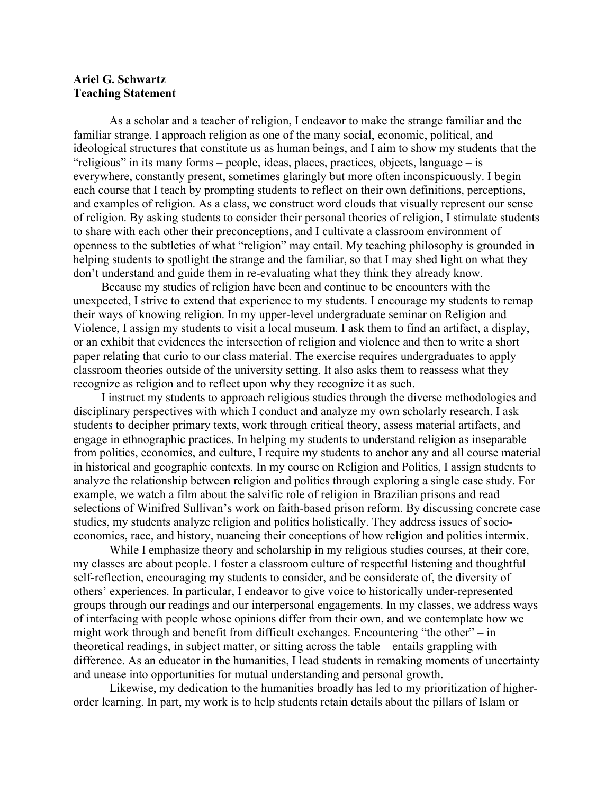## **Ariel G. Schwartz Teaching Statement**

As a scholar and a teacher of religion, I endeavor to make the strange familiar and the familiar strange. I approach religion as one of the many social, economic, political, and ideological structures that constitute us as human beings, and I aim to show my students that the "religious" in its many forms – people, ideas, places, practices, objects, language – is everywhere, constantly present, sometimes glaringly but more often inconspicuously. I begin each course that I teach by prompting students to reflect on their own definitions, perceptions, and examples of religion. As a class, we construct word clouds that visually represent our sense of religion. By asking students to consider their personal theories of religion, I stimulate students to share with each other their preconceptions, and I cultivate a classroom environment of openness to the subtleties of what "religion" may entail. My teaching philosophy is grounded in helping students to spotlight the strange and the familiar, so that I may shed light on what they don't understand and guide them in re-evaluating what they think they already know.

Because my studies of religion have been and continue to be encounters with the unexpected, I strive to extend that experience to my students. I encourage my students to remap their ways of knowing religion. In my upper-level undergraduate seminar on Religion and Violence, I assign my students to visit a local museum. I ask them to find an artifact, a display, or an exhibit that evidences the intersection of religion and violence and then to write a short paper relating that curio to our class material. The exercise requires undergraduates to apply classroom theories outside of the university setting. It also asks them to reassess what they recognize as religion and to reflect upon why they recognize it as such.

I instruct my students to approach religious studies through the diverse methodologies and disciplinary perspectives with which I conduct and analyze my own scholarly research. I ask students to decipher primary texts, work through critical theory, assess material artifacts, and engage in ethnographic practices. In helping my students to understand religion as inseparable from politics, economics, and culture, I require my students to anchor any and all course material in historical and geographic contexts. In my course on Religion and Politics, I assign students to analyze the relationship between religion and politics through exploring a single case study. For example, we watch a film about the salvific role of religion in Brazilian prisons and read selections of Winifred Sullivan's work on faith-based prison reform. By discussing concrete case studies, my students analyze religion and politics holistically. They address issues of socioeconomics, race, and history, nuancing their conceptions of how religion and politics intermix.

While I emphasize theory and scholarship in my religious studies courses, at their core, my classes are about people. I foster a classroom culture of respectful listening and thoughtful self-reflection, encouraging my students to consider, and be considerate of, the diversity of others' experiences. In particular, I endeavor to give voice to historically under-represented groups through our readings and our interpersonal engagements. In my classes, we address ways of interfacing with people whose opinions differ from their own, and we contemplate how we might work through and benefit from difficult exchanges. Encountering "the other" – in theoretical readings, in subject matter, or sitting across the table – entails grappling with difference. As an educator in the humanities, I lead students in remaking moments of uncertainty and unease into opportunities for mutual understanding and personal growth.

Likewise, my dedication to the humanities broadly has led to my prioritization of higherorder learning. In part, my work is to help students retain details about the pillars of Islam or